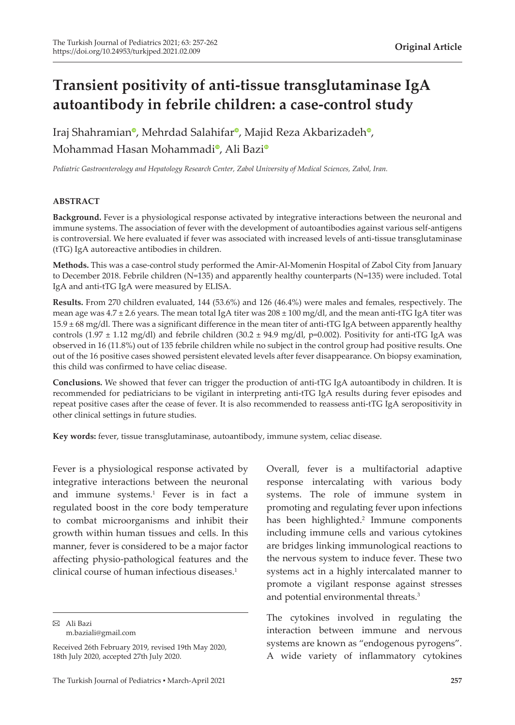# **Transient positivity of anti-tissue transglutaminase IgA autoantibody in febrile children: a case-control study**

Iraj Shahramia[n](https://orcid.org/0000-0002-4134-1405)<sup>o</sup>, Meh[r](https://orcid.org/0000-0002-7753-9608)dad Salahifar<sup>o</sup>[,](https://orcid.org/0000-0003-4782-3867) Majid Reza Akbarizadeh<sup>o</sup>, Mohammad Hasan Mohammadi<sup>o</sup>[,](https://orcid.org/0000-0002-0358-0640) Al[i](https://orcid.org/0000-0003-4872-1352) Bazi<sup>o</sup>

*Pediatric Gastroenterology and Hepatology Research Center, Zabol University of Medical Sciences, Zabol, Iran.*

# **ABSTRACT**

**Background.** Fever is a physiological response activated by integrative interactions between the neuronal and immune systems. The association of fever with the development of autoantibodies against various self-antigens is controversial. We here evaluated if fever was associated with increased levels of anti-tissue transglutaminase (tTG) IgA autoreactive antibodies in children.

**Methods.** This was a case-control study performed the Amir-Al-Momenin Hospital of Zabol City from January to December 2018. Febrile children (N=135) and apparently healthy counterparts (N=135) were included. Total IgA and anti-tTG IgA were measured by ELISA.

**Results.** From 270 children evaluated, 144 (53.6%) and 126 (46.4%) were males and females, respectively. The mean age was  $4.7 \pm 2.6$  years. The mean total IgA titer was  $208 \pm 100$  mg/dl, and the mean anti-tTG IgA titer was 15.9 ± 68 mg/dl. There was a significant difference in the mean titer of anti-tTG IgA between apparently healthy controls (1.97  $\pm$  1.12 mg/dl) and febrile children (30.2  $\pm$  94.9 mg/dl, p=0.002). Positivity for anti-tTG IgA was observed in 16 (11.8%) out of 135 febrile children while no subject in the control group had positive results. One out of the 16 positive cases showed persistent elevated levels after fever disappearance. On biopsy examination, this child was confirmed to have celiac disease.

**Conclusions.** We showed that fever can trigger the production of anti-tTG IgA autoantibody in children. It is recommended for pediatricians to be vigilant in interpreting anti-tTG IgA results during fever episodes and repeat positive cases after the cease of fever. It is also recommended to reassess anti-tTG IgA seropositivity in other clinical settings in future studies.

**Key words:** fever, tissue transglutaminase, autoantibody, immune system, celiac disease.

Fever is a physiological response activated by integrative interactions between the neuronal and immune systems.<sup>1</sup> Fever is in fact a regulated boost in the core body temperature to combat microorganisms and inhibit their growth within human tissues and cells. In this manner, fever is considered to be a major factor affecting physio-pathological features and the clinical course of human infectious diseases.<sup>1</sup>

Ali Bazi

m.baziali@gmail.com

Overall, fever is a multifactorial adaptive response intercalating with various body systems. The role of immune system in promoting and regulating fever upon infections has been highlighted.<sup>2</sup> Immune components including immune cells and various cytokines are bridges linking immunological reactions to the nervous system to induce fever. These two systems act in a highly intercalated manner to promote a vigilant response against stresses and potential environmental threats.3

The cytokines involved in regulating the interaction between immune and nervous systems are known as "endogenous pyrogens". A wide variety of inflammatory cytokines

Received 26th February 2019, revised 19th May 2020, 18th July 2020, accepted 27th July 2020.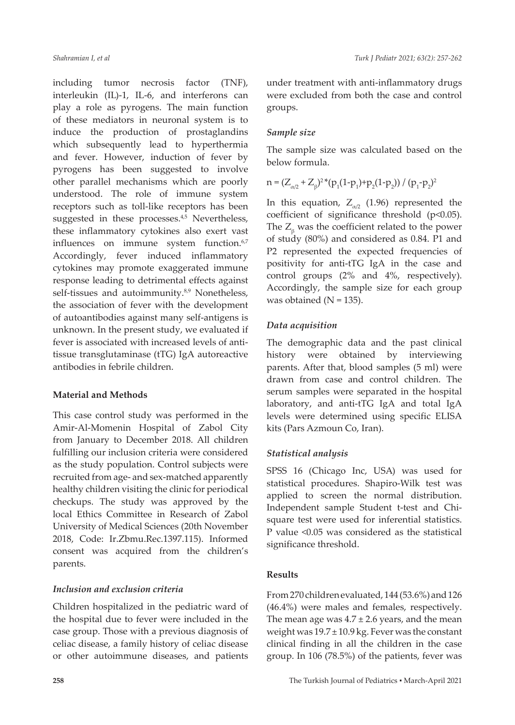including tumor necrosis factor (TNF), interleukin (IL)-1, IL-6, and interferons can play a role as pyrogens. The main function of these mediators in neuronal system is to induce the production of prostaglandins which subsequently lead to hyperthermia and fever. However, induction of fever by pyrogens has been suggested to involve other parallel mechanisms which are poorly understood. The role of immune system receptors such as toll-like receptors has been suggested in these processes.<sup>4,5</sup> Nevertheless, these inflammatory cytokines also exert vast influences on immune system function.<sup>6,7</sup> Accordingly, fever induced inflammatory cytokines may promote exaggerated immune response leading to detrimental effects against self-tissues and autoimmunity.<sup>8,9</sup> Nonetheless, the association of fever with the development of autoantibodies against many self-antigens is unknown. In the present study, we evaluated if fever is associated with increased levels of antitissue transglutaminase (tTG) IgA autoreactive antibodies in febrile children.

# **Material and Methods**

This case control study was performed in the Amir-Al-Momenin Hospital of Zabol City from January to December 2018. All children fulfilling our inclusion criteria were considered as the study population. Control subjects were recruited from age- and sex-matched apparently healthy children visiting the clinic for periodical checkups. The study was approved by the local Ethics Committee in Research of Zabol University of Medical Sciences (20th November 2018, Code: Ir.Zbmu.Rec.1397.115). Informed consent was acquired from the children's parents.

## *Inclusion and exclusion criteria*

Children hospitalized in the pediatric ward of the hospital due to fever were included in the case group. Those with a previous diagnosis of celiac disease, a family history of celiac disease or other autoimmune diseases, and patients under treatment with anti-inflammatory drugs were excluded from both the case and control groups.

## *Sample size*

The sample size was calculated based on the below formula.

$$
n = (Z_{\alpha/2} + Z_{\beta})^{2} * (p_1(1-p_1) + p_2(1-p_2)) / (p_1-p_2)^2
$$

In this equation,  $Z_{\alpha/2}$  (1.96) represented the coefficient of significance threshold (p<0.05). The  $Z_{\beta}$  was the coefficient related to the power of study (80%) and considered as 0.84. P1 and P2 represented the expected frequencies of positivity for anti-tTG IgA in the case and control groups (2% and 4%, respectively). Accordingly, the sample size for each group was obtained  $(N = 135)$ .

## *Data acquisition*

The demographic data and the past clinical history were obtained by interviewing parents. After that, blood samples (5 ml) were drawn from case and control children. The serum samples were separated in the hospital laboratory, and anti-tTG IgA and total IgA levels were determined using specific ELISA kits (Pars Azmoun Co, Iran).

#### *Statistical analysis*

SPSS 16 (Chicago Inc, USA) was used for statistical procedures. Shapiro-Wilk test was applied to screen the normal distribution. Independent sample Student t-test and Chisquare test were used for inferential statistics. P value <0.05 was considered as the statistical significance threshold.

#### **Results**

From 270 children evaluated, 144 (53.6%) and 126 (46.4%) were males and females, respectively. The mean age was  $4.7 \pm 2.6$  years, and the mean weight was  $19.7 \pm 10.9$  kg. Fever was the constant clinical finding in all the children in the case group. In 106 (78.5%) of the patients, fever was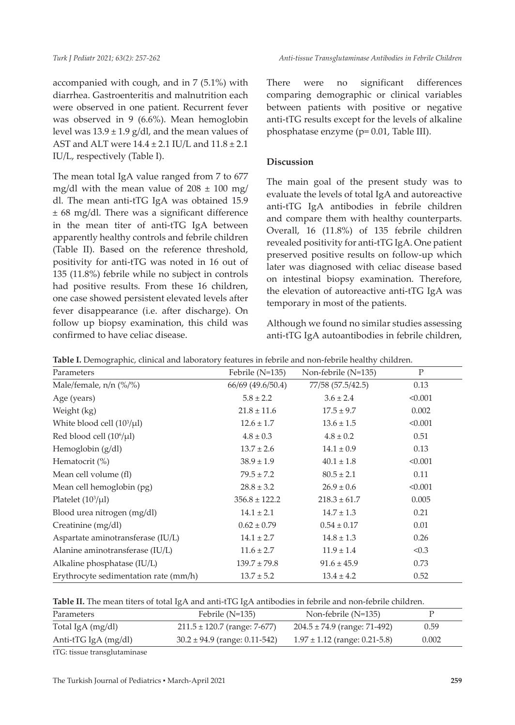accompanied with cough, and in 7 (5.1%) with diarrhea. Gastroenteritis and malnutrition each were observed in one patient. Recurrent fever was observed in 9 (6.6%). Mean hemoglobin level was  $13.9 \pm 1.9$  g/dl, and the mean values of AST and ALT were 14.4 ± 2.1 IU/L and 11.8 ± 2.1 IU/L, respectively (Table I).

The mean total IgA value ranged from 7 to 677 mg/dl with the mean value of  $208 \pm 100$  mg/ dl. The mean anti-tTG IgA was obtained 15.9 ± 68 mg/dl. There was a significant difference in the mean titer of anti-tTG IgA between apparently healthy controls and febrile children (Table II). Based on the reference threshold, positivity for anti-tTG was noted in 16 out of 135 (11.8%) febrile while no subject in controls had positive results. From these 16 children, one case showed persistent elevated levels after fever disappearance (i.e. after discharge). On follow up biopsy examination, this child was confirmed to have celiac disease.

There were no significant differences comparing demographic or clinical variables between patients with positive or negative anti-tTG results except for the levels of alkaline phosphatase enzyme (p= 0.01, Table III).

# **Discussion**

The main goal of the present study was to evaluate the levels of total IgA and autoreactive anti-tTG IgA antibodies in febrile children and compare them with healthy counterparts. Overall, 16 (11.8%) of 135 febrile children revealed positivity for anti-tTG IgA. One patient preserved positive results on follow-up which later was diagnosed with celiac disease based on intestinal biopsy examination. Therefore, the elevation of autoreactive anti-tTG IgA was temporary in most of the patients.

Although we found no similar studies assessing anti-tTG IgA autoantibodies in febrile children,

| Parameters                            | Febrile $(N=135)$ | Non-febrile (N=135) | $\mathbf P$ |
|---------------------------------------|-------------------|---------------------|-------------|
| Male/female, $n/n$ (%/%)              | 66/69 (49.6/50.4) | 77/58 (57.5/42.5)   | 0.13        |
| Age (years)                           | $5.8 \pm 2.2$     | $3.6 \pm 2.4$       | < 0.001     |
| Weight (kg)                           | $21.8 \pm 11.6$   | $17.5 \pm 9.7$      | 0.002       |
| White blood cell $(10^3/\mu l)$       | $12.6 \pm 1.7$    | $13.6 \pm 1.5$      | < 0.001     |
| Red blood cell $(10^6/\mu l)$         | $4.8 \pm 0.3$     | $4.8 \pm 0.2$       | 0.51        |
| Hemoglobin $(g/dl)$                   | $13.7 \pm 2.6$    | $14.1 \pm 0.9$      | 0.13        |
| Hematocrit $(\%)$                     | $38.9 \pm 1.9$    | $40.1 \pm 1.8$      | < 0.001     |
| Mean cell volume (fl)                 | $79.5 \pm 7.2$    | $80.5 \pm 2.1$      | 0.11        |
| Mean cell hemoglobin (pg)             | $28.8 \pm 3.2$    | $26.9 \pm 0.6$      | < 0.001     |
| Platelet $(10^3/\mu l)$               | $356.8 \pm 122.2$ | $218.3 \pm 61.7$    | 0.005       |
| Blood urea nitrogen (mg/dl)           | $14.1 \pm 2.1$    | $14.7 \pm 1.3$      | 0.21        |
| Creatinine (mg/dl)                    | $0.62 \pm 0.79$   | $0.54 \pm 0.17$     | 0.01        |
| Aspartate aminotransferase (IU/L)     | $14.1 \pm 2.7$    | $14.8 \pm 1.3$      | 0.26        |
| Alanine aminotransferase (IU/L)       | $11.6 \pm 2.7$    | $11.9 \pm 1.4$      | < 0.3       |
| Alkaline phosphatase (IU/L)           | $139.7 \pm 79.8$  | $91.6 \pm 45.9$     | 0.73        |
| Erythrocyte sedimentation rate (mm/h) | $13.7 \pm 5.2$    | $13.4 \pm 4.2$      | 0.52        |

|  | Table I. Demographic, clinical and laboratory features in febrile and non-febrile healthy children. |  |  |  |  |  |
|--|-----------------------------------------------------------------------------------------------------|--|--|--|--|--|
|  |                                                                                                     |  |  |  |  |  |

**Table II.** The mean titers of total IgA and anti-tTG IgA antibodies in febrile and non-febrile children.

| Parameters             | Febrile (N=135)                   | Non-febrile (N=135)               |       |
|------------------------|-----------------------------------|-----------------------------------|-------|
| Total IgA (mg/dl)      | $211.5 \pm 120.7$ (range: 7-677)  | $204.5 \pm 74.9$ (range: 71-492)  | 0.59  |
| Anti-tTG IgA $(mg/dl)$ | $30.2 \pm 94.9$ (range: 0.11-542) | $1.97 \pm 1.12$ (range: 0.21-5.8) | 0.002 |

tTG: tissue transglutaminase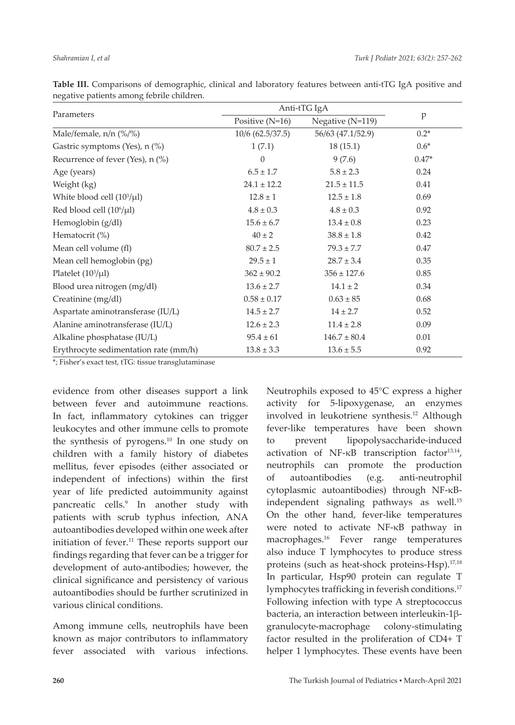|                                       | Anti-tTG IgA       |                   |         |  |
|---------------------------------------|--------------------|-------------------|---------|--|
| Parameters                            | Positive $(N=16)$  | Negative (N=119)  | p       |  |
| Male/female, n/n (%/%)                | $10/6$ (62.5/37.5) | 56/63 (47.1/52.9) | $0.2*$  |  |
| Gastric symptoms (Yes), n (%)         | 1(7.1)             | 18(15.1)          | $0.6*$  |  |
| Recurrence of fever (Yes), n (%)      | $\theta$           | 9(7.6)            | $0.47*$ |  |
| Age (years)                           | $6.5 \pm 1.7$      | $5.8 \pm 2.3$     | 0.24    |  |
| Weight (kg)                           | $24.1 \pm 12.2$    | $21.5 \pm 11.5$   | 0.41    |  |
| White blood cell $(10^3/\mu l)$       | $12.8 \pm 1$       | $12.5 \pm 1.8$    | 0.69    |  |
| Red blood cell (10 <sup>6</sup> /µl)  | $4.8 \pm 0.3$      | $4.8 \pm 0.3$     | 0.92    |  |
| Hemoglobin (g/dl)                     | $15.6 \pm 6.7$     | $13.4 \pm 0.8$    | 0.23    |  |
| Hematocrit $(\%)$                     | $40 \pm 2$         | $38.8 \pm 1.8$    | 0.42    |  |
| Mean cell volume (fl)                 | $80.7 \pm 2.5$     | $79.3 \pm 7.7$    | 0.47    |  |
| Mean cell hemoglobin (pg)             | $29.5 \pm 1$       | $28.7 \pm 3.4$    | 0.35    |  |
| Platelet $(10^3/\mu l)$               | $362 \pm 90.2$     | $356 \pm 127.6$   | 0.85    |  |
| Blood urea nitrogen (mg/dl)           | $13.6 \pm 2.7$     | $14.1 \pm 2$      | 0.34    |  |
| Creatinine (mg/dl)                    | $0.58 \pm 0.17$    | $0.63 \pm 85$     | 0.68    |  |
| Aspartate aminotransferase (IU/L)     | $14.5 \pm 2.7$     | $14 \pm 2.7$      | 0.52    |  |
| Alanine aminotransferase (IU/L)       | $12.6 \pm 2.3$     | $11.4 \pm 2.8$    | 0.09    |  |
| Alkaline phosphatase (IU/L)           | $95.4 \pm 61$      | $146.7 \pm 80.4$  | 0.01    |  |
| Erythrocyte sedimentation rate (mm/h) | $13.8 \pm 3.3$     | $13.6 \pm 5.5$    | 0.92    |  |

**Table III.** Comparisons of demographic, clinical and laboratory features between anti-tTG IgA positive and negative patients among febrile children.

\*; Fisher's exact test, tTG: tissue transglutaminase

evidence from other diseases support a link between fever and autoimmune reactions. In fact, inflammatory cytokines can trigger leukocytes and other immune cells to promote the synthesis of pyrogens.10 In one study on children with a family history of diabetes mellitus, fever episodes (either associated or independent of infections) within the first year of life predicted autoimmunity against pancreatic cells.<sup>9</sup> In another study with patients with scrub typhus infection, ANA autoantibodies developed within one week after initiation of fever.<sup>11</sup> These reports support our findings regarding that fever can be a trigger for development of auto-antibodies; however, the clinical significance and persistency of various autoantibodies should be further scrutinized in various clinical conditions.

Among immune cells, neutrophils have been known as major contributors to inflammatory fever associated with various infections.

Neutrophils exposed to 45°C express a higher activity for 5-lipoxygenase, an enzymes involved in leukotriene synthesis.12 Although fever-like temperatures have been shown to prevent lipopolysaccharide-induced activation of NF-κB transcription factor<sup>13,14</sup>, neutrophils can promote the production of autoantibodies (e.g. anti-neutrophil cytoplasmic autoantibodies) through NF-κBindependent signaling pathways as well.<sup>15</sup> On the other hand, fever-like temperatures were noted to activate NF-κB pathway in macrophages.<sup>16</sup> Fever range temperatures also induce T lymphocytes to produce stress proteins (such as heat-shock proteins-Hsp).<sup>17,18</sup> In particular, Hsp90 protein can regulate T lymphocytes trafficking in feverish conditions.<sup>17</sup> Following infection with type A streptococcus bacteria, an interaction between interleukin-1βgranulocyte-macrophage colony-stimulating factor resulted in the proliferation of CD4+ T helper 1 lymphocytes. These events have been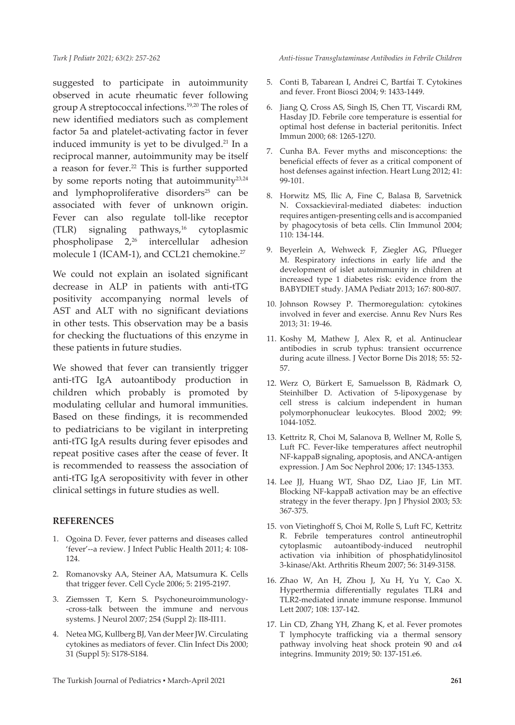suggested to participate in autoimmunity observed in acute rheumatic fever following group A streptococcal infections.19,20 The roles of new identified mediators such as complement factor 5a and platelet-activating factor in fever induced immunity is yet to be divulged.<sup>21</sup> In a reciprocal manner, autoimmunity may be itself a reason for fever.<sup>22</sup> This is further supported by some reports noting that autoimmunity $23,24$ and lymphoproliferative disorders<sup>25</sup> can be associated with fever of unknown origin. Fever can also regulate toll-like receptor (TLR) signaling pathways,<sup>16</sup> cytoplasmic phospholipase 2,26 intercellular adhesion molecule 1 (ICAM-1), and CCL21 chemokine.<sup>27</sup>

We could not explain an isolated significant decrease in ALP in patients with anti-tTG positivity accompanying normal levels of AST and ALT with no significant deviations in other tests. This observation may be a basis for checking the fluctuations of this enzyme in these patients in future studies.

We showed that fever can transiently trigger anti-tTG IgA autoantibody production in children which probably is promoted by modulating cellular and humoral immunities. Based on these findings, it is recommended to pediatricians to be vigilant in interpreting anti-tTG IgA results during fever episodes and repeat positive cases after the cease of fever. It is recommended to reassess the association of anti-tTG IgA seropositivity with fever in other clinical settings in future studies as well.

# **REFERENCES**

- 1. Ogoina D. Fever, fever patterns and diseases called 'fever'--a review. J Infect Public Health 2011; 4: 108- 124.
- 2. Romanovsky AA, Steiner AA, Matsumura K. Cells that trigger fever. Cell Cycle 2006; 5: 2195-2197.
- 3. Ziemssen T, Kern S. Psychoneuroimmunology- -cross-talk between the immune and nervous systems. J Neurol 2007; 254 (Suppl 2): II8-II11.
- 4. Netea MG, Kullberg BJ, Van der Meer JW. Circulating cytokines as mediators of fever. Clin Infect Dis 2000; 31 (Suppl 5): S178-S184.

*Anti-tissue Transglutaminase Antibodies in Febrile Children*

- 5. Conti B, Tabarean I, Andrei C, Bartfai T. Cytokines and fever. Front Biosci 2004; 9: 1433-1449.
- 6. Jiang Q, Cross AS, Singh IS, Chen TT, Viscardi RM, Hasday JD. Febrile core temperature is essential for optimal host defense in bacterial peritonitis. Infect Immun 2000; 68: 1265-1270.
- 7. Cunha BA. Fever myths and misconceptions: the beneficial effects of fever as a critical component of host defenses against infection. Heart Lung 2012; 41: 99-101.
- 8. Horwitz MS, Ilic A, Fine C, Balasa B, Sarvetnick N. Coxsackieviral-mediated diabetes: induction requires antigen-presenting cells and is accompanied by phagocytosis of beta cells. Clin Immunol 2004; 110: 134-144.
- 9. Beyerlein A, Wehweck F, Ziegler AG, Pflueger M. Respiratory infections in early life and the development of islet autoimmunity in children at increased type 1 diabetes risk: evidence from the BABYDIET study. JAMA Pediatr 2013; 167: 800-807.
- 10. Johnson Rowsey P. Thermoregulation: cytokines involved in fever and exercise. Annu Rev Nurs Res 2013; 31: 19-46.
- 11. Koshy M, Mathew J, Alex R, et al. Antinuclear antibodies in scrub typhus: transient occurrence during acute illness. J Vector Borne Dis 2018; 55: 52- 57.
- 12. Werz O, Bürkert E, Samuelsson B, Rådmark O, Steinhilber D. Activation of 5-lipoxygenase by cell stress is calcium independent in human polymorphonuclear leukocytes. Blood 2002; 99: 1044-1052.
- 13. Kettritz R, Choi M, Salanova B, Wellner M, Rolle S, Luft FC. Fever-like temperatures affect neutrophil NF-kappaB signaling, apoptosis, and ANCA-antigen expression. J Am Soc Nephrol 2006; 17: 1345-1353.
- 14. Lee JJ, Huang WT, Shao DZ, Liao JF, Lin MT. Blocking NF-kappaB activation may be an effective strategy in the fever therapy. Jpn J Physiol 2003; 53: 367-375.
- 15. von Vietinghoff S, Choi M, Rolle S, Luft FC, Kettritz R. Febrile temperatures control antineutrophil cytoplasmic autoantibody-induced neutrophil activation via inhibition of phosphatidylinositol 3-kinase/Akt. Arthritis Rheum 2007; 56: 3149-3158.
- 16. Zhao W, An H, Zhou J, Xu H, Yu Y, Cao X. Hyperthermia differentially regulates TLR4 and TLR2-mediated innate immune response. Immunol Lett 2007; 108: 137-142.
- 17. Lin CD, Zhang YH, Zhang K, et al. Fever promotes T lymphocyte trafficking via a thermal sensory pathway involving heat shock protein 90 and  $\alpha$ 4 integrins. Immunity 2019; 50: 137-151.e6.